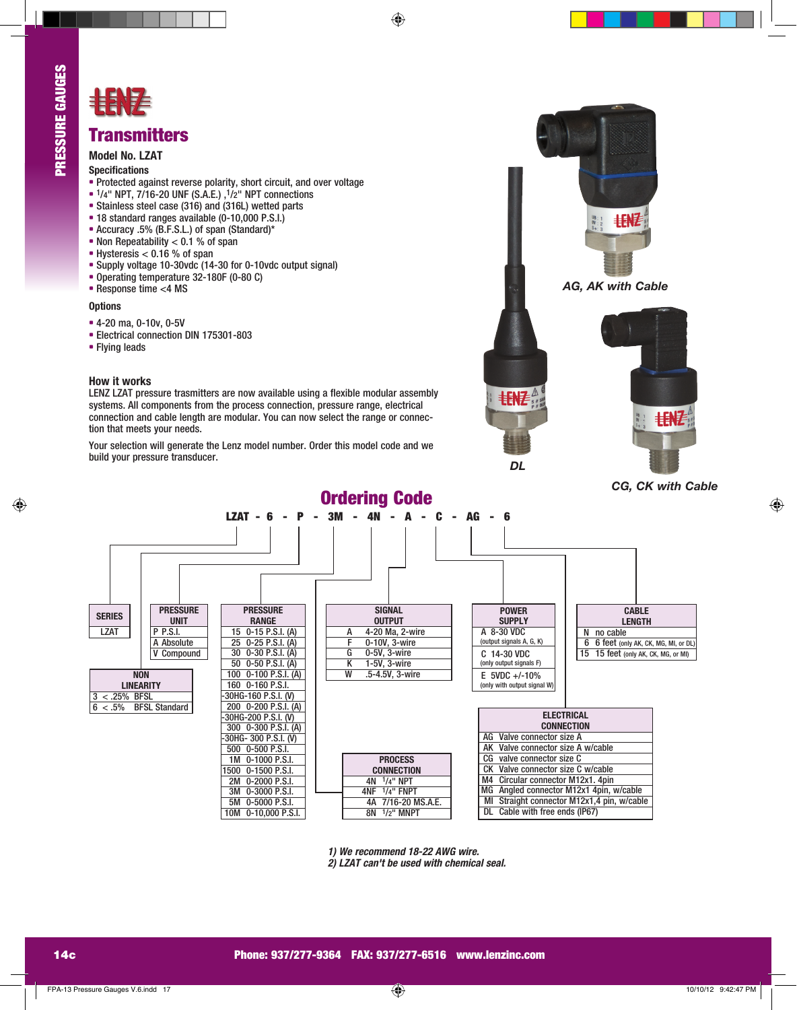

# EEENF

## **Transmitters**

### **Model No. LZAT**

#### **Specifications**

- **•** Protected against reverse polarity, short circuit, and over voltage
- **•** 1/4" NPT, 7/16-20 UNF (S.A.E.) ,1/2" NPT connections
- **•** Stainless steel case (316) and (316L) wetted parts
- **•** 18 standard ranges available (0-10,000 P.S.I.)
- **•** Accuracy .5% (B.F.S.L.) of span (Standard)\*
- **•** Non Repeatability < 0.1 % of span
- **•** Hysteresis < 0.16 % of span
- **•** Supply voltage 10-30vdc (14-30 for 0-10vdc output signal)
- **•** Operating temperature 32-180F (0-80 C)
- **•** Response time <4 MS

#### **Options**

- **•** 4-20 ma, 0-10v, 0-5V
- **•** Electrical connection DIN 175301-803
- **•** Flying leads

#### **How it works**

LENZ LZAT pressure trasmitters are now available using a flexible modular assembly systems. All components from the process connection, pressure range, electrical connection and cable length are modular. You can now select the range or connection that meets your needs.

Your selection will generate the Lenz model number. Order this model code and we build your pressure transducer.



|                                    |                 | LZAT - 6 -<br>P       | 3M                                      | AG<br>6                                    |                             |
|------------------------------------|-----------------|-----------------------|-----------------------------------------|--------------------------------------------|-----------------------------|
|                                    |                 |                       |                                         |                                            |                             |
|                                    |                 |                       |                                         |                                            |                             |
| <b>SERIES</b>                      | <b>PRESSURE</b> | <b>PRESSURE</b>       | <b>SIGNAL</b>                           | <b>POWER</b>                               | <b>CABLE</b>                |
|                                    | <b>UNIT</b>     | <b>RANGE</b>          | <b>OUTPUT</b>                           | <b>SUPPLY</b>                              | <b>LENGTH</b>               |
| <b>LZAT</b>                        | P P.S.I.        | 15 0-15 P.S.I. (A)    | 4-20 Ma, 2-wire<br>А                    | A 8-30 VDC                                 | N no cable                  |
|                                    | A Absolute      | 25 0-25 P.S.I. (A)    | F<br>0-10V, 3-wire                      | (output signals A, G, K)                   | 6 6 feet (only AK, CK, MG,  |
|                                    | Compound        | 30 0-30 P.S.I. (A)    | G<br>0-5V, 3-wire                       | C 14-30 VDC                                | 15 15 feet (only AK, CK, MG |
|                                    |                 | 50 0-50 P.S.I. (A)    | K<br>1-5V, 3-wire                       | (only output signals F)                    |                             |
| <b>NON</b>                         |                 | 100 0-100 P.S.I. (A)  | W<br>.5-4.5V, 3-wire                    | $E$ 5VDC +/-10%                            |                             |
| <b>LINEARITY</b>                   |                 | 160 0-160 P.S.I.      |                                         | (only with output signal W)                |                             |
| $3 < .25\%$ BFSL                   |                 | 30HG-160 P.S.I. (V)   |                                         |                                            |                             |
| <b>BFSL Standard</b><br>$6 < .5\%$ |                 | 200 0-200 P.S.I. (A)  |                                         |                                            |                             |
|                                    |                 | -30HG-200 P.S.I. (V)  |                                         | <b>ELECTRICAL</b>                          |                             |
|                                    |                 | 300 0-300 P.S.I. (A)  |                                         | <b>CONNECTION</b>                          |                             |
|                                    |                 | -30HG- 300 P.S.I. (V) |                                         | AG<br>Valve connector size A               |                             |
|                                    |                 | 500 0-500 P.S.I.      |                                         | AK Valve connector size A w/cable          |                             |
|                                    |                 | 1M 0-1000 P.S.I.      | <b>PROCESS</b>                          | CG<br>valve connector size C               |                             |
|                                    |                 | 1500 0-1500 P.S.I.    | <b>CONNECTION</b>                       | Valve connector size C w/cable             |                             |
|                                    |                 | 2M 0-2000 P.S.I.      | 4N 1/4" NPT                             | Circular connector M12x1. 4pin<br>M4       |                             |
|                                    |                 | 3M 0-3000 P.S.I.      | $4NF$ <sup><math>1/4"</math></sup> FNPT | Angled connector M12x1 4pin, w/cable<br>МG |                             |
|                                    |                 | 5M 0-5000 P.S.I.      | 7/16-20 MS.A.E.<br>4A                   | Straight connector M12x1,4 pin, w/cable    |                             |
|                                    |                 | 10M 0-10,000 P.S.I.   | 8N 1/2" MNPT                            | DL Cable with free ends (IP67)             |                             |

**1) We recommend 18-22 AWG wire. 2) LZAT can't be used with chemical seal.**